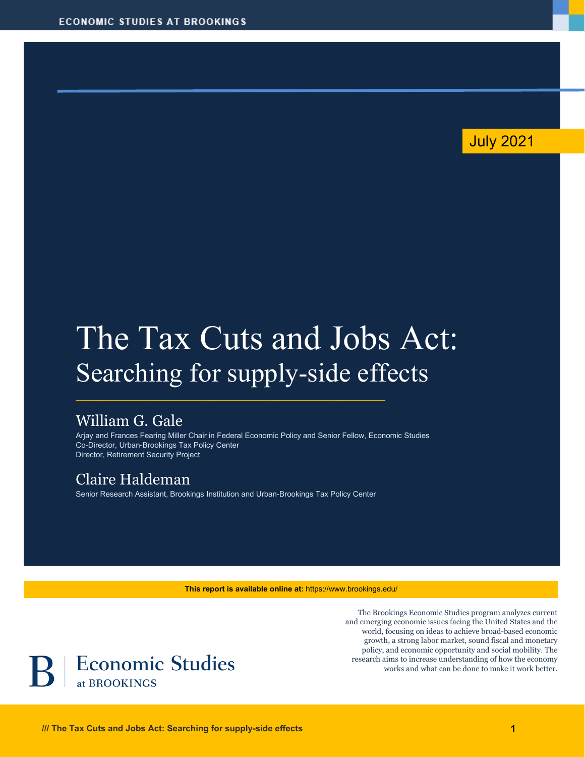## July 2021

# The Tax Cuts and Jobs Act: Searching for supply-side effects

## William G. Gale

Arjay and Frances Fearing Miller Chair in Federal Economic Policy and Senior Fellow, Economic Studies Co-Director, Urban-Brookings Tax Policy Center Director, Retirement Security Project

## Claire Haldeman

Senior Research Assistant, Brookings Institution and Urban-Brookings Tax Policy Center

**This report is available online at:** https://www.brookings.edu/

The Brookings Economic Studies program analyzes current and emerging economic issues facing the United States and the world, focusing on ideas to achieve broad-based economic growth, a strong labor market, sound fiscal and monetary policy, and economic opportunity and social mobility. The research aims to increase understanding of how the economy works and what can be done to make it work better.

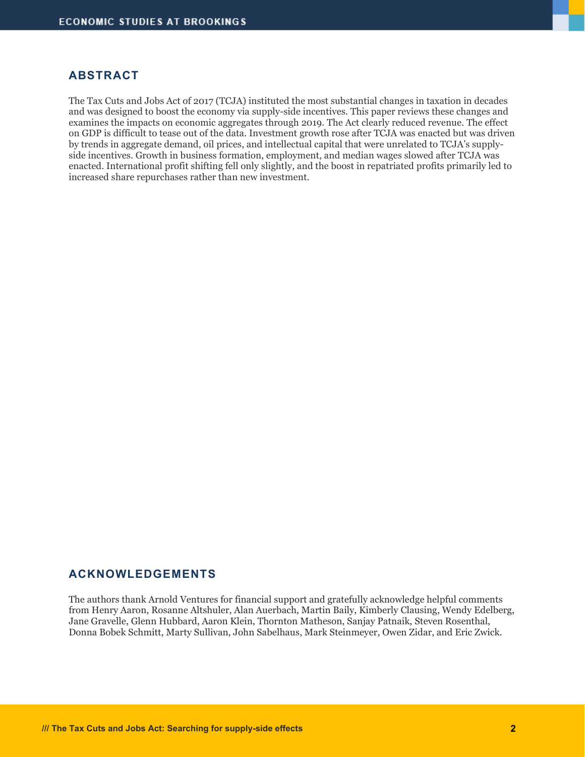#### **ABSTRACT**

The Tax Cuts and Jobs Act of 2017 (TCJA) instituted the most substantial changes in taxation in decades and was designed to boost the economy via supply-side incentives. This paper reviews these changes and examines the impacts on economic aggregates through 2019. The Act clearly reduced revenue. The effect on GDP is difficult to tease out of the data. Investment growth rose after TCJA was enacted but was driven by trends in aggregate demand, oil prices, and intellectual capital that were unrelated to TCJA's supplyside incentives. Growth in business formation, employment, and median wages slowed after TCJA was enacted. International profit shifting fell only slightly, and the boost in repatriated profits primarily led to increased share repurchases rather than new investment.

#### **ACKNOWLEDGEMENTS**

The authors thank Arnold Ventures for financial support and gratefully acknowledge helpful comments from Henry Aaron, Rosanne Altshuler, Alan Auerbach, Martin Baily, Kimberly Clausing, Wendy Edelberg, Jane Gravelle, Glenn Hubbard, Aaron Klein, Thornton Matheson, Sanjay Patnaik, Steven Rosenthal, Donna Bobek Schmitt, Marty Sullivan, John Sabelhaus, Mark Steinmeyer, Owen Zidar, and Eric Zwick.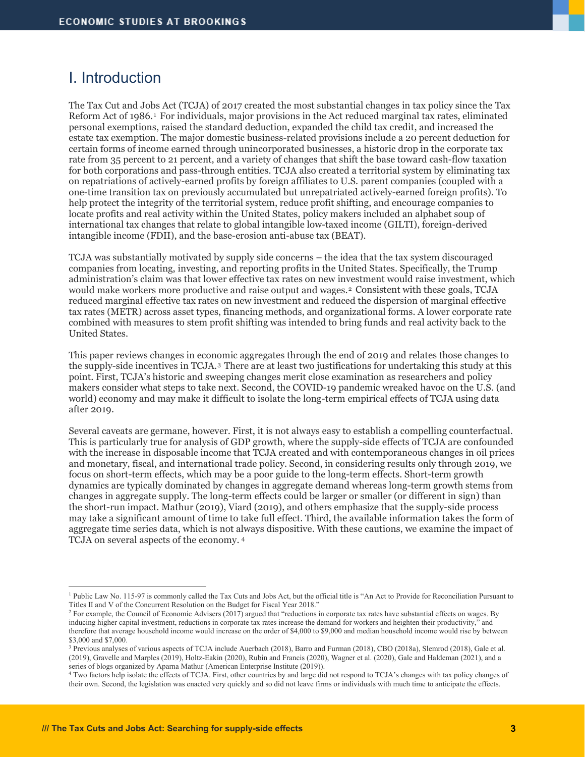## I. Introduction

The Tax Cut and Jobs Act (TCJA) of 2017 created the most substantial changes in tax policy since the Tax Reform Act of 1986.[1](#page-2-0) For individuals, major provisions in the Act reduced marginal tax rates, eliminated personal exemptions, raised the standard deduction, expanded the child tax credit, and increased the estate tax exemption. The major domestic business-related provisions include a 20 percent deduction for certain forms of income earned through unincorporated businesses, a historic drop in the corporate tax rate from 35 percent to 21 percent, and a variety of changes that shift the base toward cash-flow taxation for both corporations and pass-through entities. TCJA also created a territorial system by eliminating tax on repatriations of actively-earned profits by foreign affiliates to U.S. parent companies (coupled with a one-time transition tax on previously accumulated but unrepatriated actively-earned foreign profits). To help protect the integrity of the territorial system, reduce profit shifting, and encourage companies to locate profits and real activity within the United States, policy makers included an alphabet soup of international tax changes that relate to global intangible low-taxed income (GILTI), foreign-derived intangible income (FDII), and the base-erosion anti-abuse tax (BEAT).

TCJA was substantially motivated by supply side concerns – the idea that the tax system discouraged companies from locating, investing, and reporting profits in the United States. Specifically, the Trump administration's claim was that lower effective tax rates on new investment would raise investment, which would make workers more productive and raise output and wages.[2](#page-2-1) Consistent with these goals, TCJA reduced marginal effective tax rates on new investment and reduced the dispersion of marginal effective tax rates (METR) across asset types, financing methods, and organizational forms. A lower corporate rate combined with measures to stem profit shifting was intended to bring funds and real activity back to the United States.

This paper reviews changes in economic aggregates through the end of 2019 and relates those changes to the supply-side incentives in TCJA.[3](#page-2-2) There are at least two justifications for undertaking this study at this point. First, TCJA's historic and sweeping changes merit close examination as researchers and policy makers consider what steps to take next. Second, the COVID-19 pandemic wreaked havoc on the U.S. (and world) economy and may make it difficult to isolate the long-term empirical effects of TCJA using data after 2019.

Several caveats are germane, however. First, it is not always easy to establish a compelling counterfactual. This is particularly true for analysis of GDP growth, where the supply-side effects of TCJA are confounded with the increase in disposable income that TCJA created and with contemporaneous changes in oil prices and monetary, fiscal, and international trade policy. Second, in considering results only through 2019, we focus on short-term effects, which may be a poor guide to the long-term effects. Short-term growth dynamics are typically dominated by changes in aggregate demand whereas long-term growth stems from changes in aggregate supply. The long-term effects could be larger or smaller (or different in sign) than the short-run impact. Mathur (2019), Viard (2019), and others emphasize that the supply-side process may take a significant amount of time to take full effect. Third, the available information takes the form of aggregate time series data, which is not always dispositive. With these cautions, we examine the impact of TCJA on several aspects of the economy. [4](#page-2-3)

<span id="page-2-0"></span><sup>&</sup>lt;sup>1</sup> Public Law No. 115-97 is commonly called the Tax Cuts and Jobs Act, but the official title is "An Act to Provide for Reconciliation Pursuant to Titles II and V of the Concurrent Resolution on the Budget for Fiscal Year 2018."

<span id="page-2-1"></span><sup>&</sup>lt;sup>2</sup> For example, the Council of Economic Advisers (2017) argued that "reductions in corporate tax rates have substantial effects on wages. By inducing higher capital investment, reductions in corporate tax rates increase the demand for workers and heighten their productivity," and therefore that average household income would increase on the order of \$4,000 to \$9,000 and median household income would rise by between \$3,000 and \$7,000.

<span id="page-2-2"></span><sup>3</sup> Previous analyses of various aspects of TCJA include Auerbach (2018), Barro and Furman (2018), CBO (2018a), Slemrod (2018), Gale et al. (2019), Gravelle and Marples (2019), Holtz-Eakin (2020), Rubin and Francis (2020), Wagner et al. (2020), Gale and Haldeman (2021), and a

<span id="page-2-3"></span><sup>&</sup>lt;sup>4</sup> Two factors help isolate the effects of TCJA. First, other countries by and large did not respond to TCJA's changes with tax policy changes of their own. Second, the legislation was enacted very quickly and so did not leave firms or individuals with much time to anticipate the effects.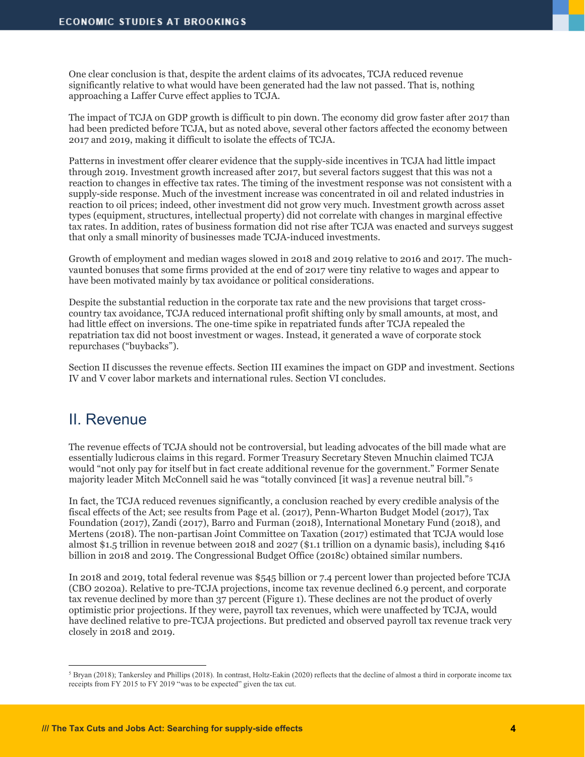One clear conclusion is that, despite the ardent claims of its advocates, TCJA reduced revenue significantly relative to what would have been generated had the law not passed. That is, nothing approaching a Laffer Curve effect applies to TCJA.

The impact of TCJA on GDP growth is difficult to pin down. The economy did grow faster after 2017 than had been predicted before TCJA, but as noted above, several other factors affected the economy between 2017 and 2019, making it difficult to isolate the effects of TCJA.

Patterns in investment offer clearer evidence that the supply-side incentives in TCJA had little impact through 2019. Investment growth increased after 2017, but several factors suggest that this was not a reaction to changes in effective tax rates. The timing of the investment response was not consistent with a supply-side response. Much of the investment increase was concentrated in oil and related industries in reaction to oil prices; indeed, other investment did not grow very much. Investment growth across asset types (equipment, structures, intellectual property) did not correlate with changes in marginal effective tax rates. In addition, rates of business formation did not rise after TCJA was enacted and surveys suggest that only a small minority of businesses made TCJA-induced investments.

Growth of employment and median wages slowed in 2018 and 2019 relative to 2016 and 2017. The muchvaunted bonuses that some firms provided at the end of 2017 were tiny relative to wages and appear to have been motivated mainly by tax avoidance or political considerations.

Despite the substantial reduction in the corporate tax rate and the new provisions that target crosscountry tax avoidance, TCJA reduced international profit shifting only by small amounts, at most, and had little effect on inversions. The one-time spike in repatriated funds after TCJA repealed the repatriation tax did not boost investment or wages. Instead, it generated a wave of corporate stock repurchases ("buybacks").

Section II discusses the revenue effects. Section III examines the impact on GDP and investment. Sections IV and V cover labor markets and international rules. Section VI concludes.

#### II. Revenue

The revenue effects of TCJA should not be controversial, but leading advocates of the bill made what are essentially ludicrous claims in this regard. Former Treasury Secretary Steven Mnuchin claimed TCJA would "not only pay for itself but in fact create additional revenue for the government." Former Senate majority leader Mitch McConnell said he was "totally convinced [it was] a revenue neutral bill."[5](#page-3-0)

In fact, the TCJA reduced revenues significantly, a conclusion reached by every credible analysis of the fiscal effects of the Act; see results from Page et al. (2017), Penn-Wharton Budget Model (2017), Tax Foundation (2017), Zandi (2017), Barro and Furman (2018), International Monetary Fund (2018), and Mertens (2018). The non-partisan Joint Committee on Taxation (2017) estimated that TCJA would lose almost \$1.5 trillion in revenue between 2018 and 2027 (\$1.1 trillion on a dynamic basis), including \$416 billion in 2018 and 2019. The Congressional Budget Office (2018c) obtained similar numbers.

In 2018 and 2019, total federal revenue was \$545 billion or 7.4 percent lower than projected before TCJA (CBO 2020a). Relative to pre-TCJA projections, income tax revenue declined 6.9 percent, and corporate tax revenue declined by more than 37 percent (Figure 1). These declines are not the product of overly optimistic prior projections. If they were, payroll tax revenues, which were unaffected by TCJA, would have declined relative to pre-TCJA projections. But predicted and observed payroll tax revenue track very closely in 2018 and 2019.

<span id="page-3-0"></span> $5$  Bryan (2018); Tankersley and Phillips (2018). In contrast, Holtz-Eakin (2020) reflects that the decline of almost a third in corporate income tax receipts from FY 2015 to FY 2019 "was to be expected" given the tax cut.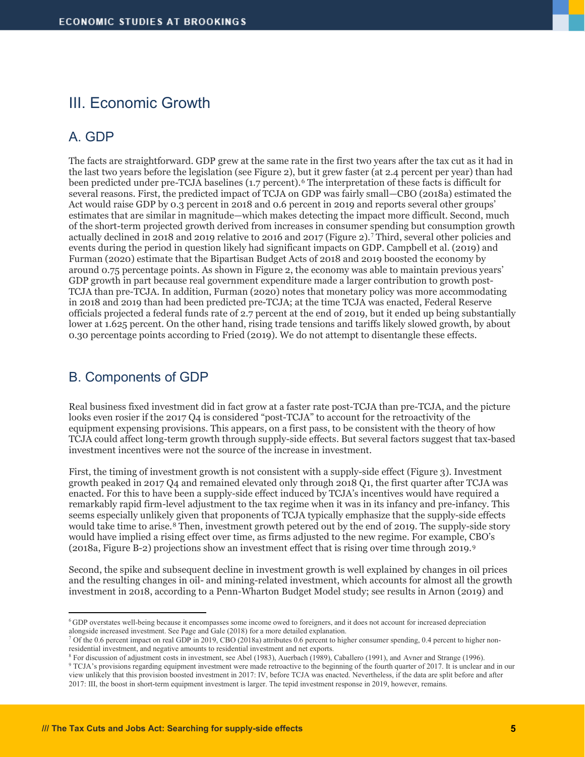## III. Economic Growth

#### A. GDP

The facts are straightforward. GDP grew at the same rate in the first two years after the tax cut as it had in the last two years before the legislation (see Figure 2), but it grew faster (at 2.4 percent per year) than had been predicted under pre-TCJA baselines (1.7 percent).<sup>[6](#page-4-0)</sup> The interpretation of these facts is difficult for several reasons. First, the predicted impact of TCJA on GDP was fairly small—CBO (2018a) estimated the Act would raise GDP by 0.3 percent in 2018 and 0.6 percent in 2019 and reports several other groups' estimates that are similar in magnitude—which makes detecting the impact more difficult. Second, much of the short-term projected growth derived from increases in consumer spending but consumption growth actually declined in 2018 and 2019 relative to 2016 and 2017 (Figure 2).[7](#page-4-1) Third, several other policies and events during the period in question likely had significant impacts on GDP. Campbell et al. (2019) and Furman (2020) estimate that the Bipartisan Budget Acts of 2018 and 2019 boosted the economy by around 0.75 percentage points. As shown in Figure 2, the economy was able to maintain previous years' GDP growth in part because real government expenditure made a larger contribution to growth post-TCJA than pre-TCJA. In addition, Furman (2020) notes that monetary policy was more accommodating in 2018 and 2019 than had been predicted pre-TCJA; at the time TCJA was enacted, Federal Reserve officials projected a federal funds rate of 2.7 percent at the end of 2019, but it ended up being substantially lower at 1.625 percent. On the other hand, rising trade tensions and tariffs likely slowed growth, by about 0.30 percentage points according to Fried (2019). We do not attempt to disentangle these effects.

#### B. Components of GDP

Real business fixed investment did in fact grow at a faster rate post-TCJA than pre-TCJA, and the picture looks even rosier if the 2017 Q4 is considered "post-TCJA" to account for the retroactivity of the equipment expensing provisions. This appears, on a first pass, to be consistent with the theory of how TCJA could affect long-term growth through supply-side effects. But several factors suggest that tax-based investment incentives were not the source of the increase in investment.

First, the timing of investment growth is not consistent with a supply-side effect (Figure 3). Investment growth peaked in 2017 Q4 and remained elevated only through 2018 Q1, the first quarter after TCJA was enacted. For this to have been a supply-side effect induced by TCJA's incentives would have required a remarkably rapid firm-level adjustment to the tax regime when it was in its infancy and pre-infancy. This seems especially unlikely given that proponents of TCJA typically emphasize that the supply-side effects would take time to arise.<sup>[8](#page-4-2)</sup> Then, investment growth petered out by the end of 2019. The supply-side story would have implied a rising effect over time, as firms adjusted to the new regime. For example, CBO's (2018a, Figure B-2) projections show an investment effect that is rising over time through 2019.[9](#page-4-3)

Second, the spike and subsequent decline in investment growth is well explained by changes in oil prices and the resulting changes in oil- and mining-related investment, which accounts for almost all the growth investment in 2018, according to a Penn-Wharton Budget Model study; see results in Arnon (2019) and

<span id="page-4-0"></span><sup>6</sup> GDP overstates well-being because it encompasses some income owed to foreigners, and it does not account for increased depreciation alongside increased investment. See Page and Gale (2018) for a more detailed explanation.

<span id="page-4-1"></span> $<sup>7</sup>$  Of the 0.6 percent impact on real GDP in 2019, CBO (2018a) attributes 0.6 percent to higher consumer spending, 0.4 percent to higher non-</sup> residential investment, and negative amounts to residential investment and net exports.

<sup>8</sup> For discussion of adjustment costs in investment, see Abel (1983), Auerbach (1989), Caballero (1991), and Avner and Strange (1996).

<span id="page-4-3"></span><span id="page-4-2"></span><sup>&</sup>lt;sup>9</sup> TCJA's provisions regarding equipment investment were made retroactive to the beginning of the fourth quarter of 2017. It is unclear and in our view unlikely that this provision boosted investment in 2017: IV, before TCJA was enacted. Nevertheless, if the data are split before and after 2017: III, the boost in short-term equipment investment is larger. The tepid investment response in 2019, however, remains.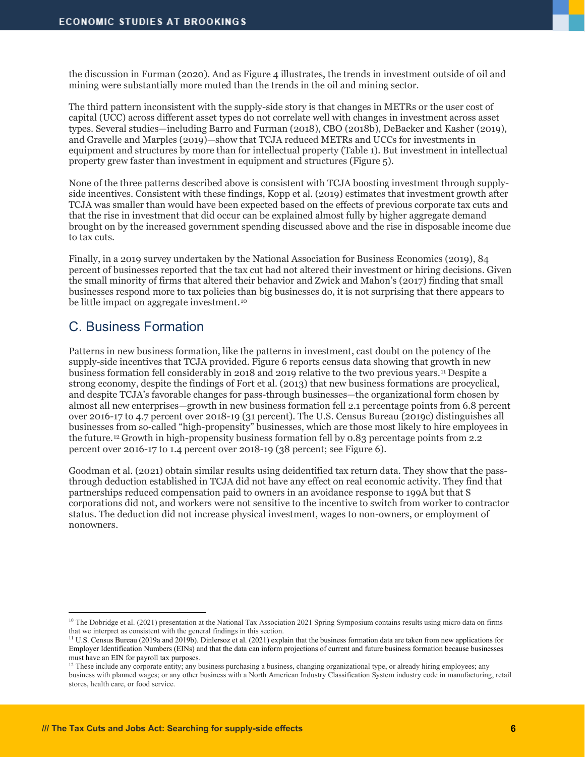the discussion in Furman (2020). And as Figure 4 illustrates, the trends in investment outside of oil and mining were substantially more muted than the trends in the oil and mining sector.

The third pattern inconsistent with the supply-side story is that changes in METRs or the user cost of capital (UCC) across different asset types do not correlate well with changes in investment across asset types. Several studies—including Barro and Furman (2018), CBO (2018b), DeBacker and Kasher (2019), and Gravelle and Marples (2019)—show that TCJA reduced METRs and UCCs for investments in equipment and structures by more than for intellectual property (Table 1). But investment in intellectual property grew faster than investment in equipment and structures (Figure 5).

None of the three patterns described above is consistent with TCJA boosting investment through supplyside incentives. Consistent with these findings, Kopp et al. (2019) estimates that investment growth after TCJA was smaller than would have been expected based on the effects of previous corporate tax cuts and that the rise in investment that did occur can be explained almost fully by higher aggregate demand brought on by the increased government spending discussed above and the rise in disposable income due to tax cuts.

Finally, in a 2019 survey undertaken by the National Association for Business Economics (2019), 84 percent of businesses reported that the tax cut had not altered their investment or hiring decisions. Given the small minority of firms that altered their behavior and Zwick and Mahon's (2017) finding that small businesses respond more to tax policies than big businesses do, it is not surprising that there appears to be little impact on aggregate investment.<sup>[10](#page-5-0)</sup>

#### C. Business Formation

Patterns in new business formation, like the patterns in investment, cast doubt on the potency of the supply-side incentives that TCJA provided. Figure 6 reports census data showing that growth in new business formation fell considerably in 2018 and 2019 relative to the two previous years.[11](#page-5-1) Despite a strong economy, despite the findings of Fort et al. (2013) that new business formations are procyclical, and despite TCJA's favorable changes for pass-through businesses—the organizational form chosen by almost all new enterprises—growth in new business formation fell 2.1 percentage points from 6.8 percent over 2016-17 to 4.7 percent over 2018-19 (31 percent). The U.S. Census Bureau (2019c) distinguishes all businesses from so-called "high-propensity" businesses, which are those most likely to hire employees in the future.[12](#page-5-2) Growth in high-propensity business formation fell by 0.83 percentage points from 2.2 percent over 2016-17 to 1.4 percent over 2018-19 (38 percent; see Figure 6).

Goodman et al. (2021) obtain similar results using deidentified tax return data. They show that the passthrough deduction established in TCJA did not have any effect on real economic activity. They find that partnerships reduced compensation paid to owners in an avoidance response to 199A but that S corporations did not, and workers were not sensitive to the incentive to switch from worker to contractor status. The deduction did not increase physical investment, wages to non-owners, or employment of nonowners.

<span id="page-5-0"></span><sup>&</sup>lt;sup>10</sup> The Dobridge et al. (2021) presentation at the National Tax Association 2021 Spring Symposium contains results using micro data on firms that we interpret as consistent with the general findings in this section.

<span id="page-5-1"></span><sup>&</sup>lt;sup>11</sup> U.S. Census Bureau (2019a and 2019b). Dinlersoz et al. (2021) explain that the business formation data are taken from new applications for Employer Identification Numbers (EINs) and that the data can inform projections of current and future business formation because businesses

<span id="page-5-2"></span> $^{12}$  These include any corporate entity; any business purchasing a business, changing organizational type, or already hiring employees; any business with planned wages; or any other business with a North American Industry Classification System industry code in manufacturing, retail stores, health care, or food service.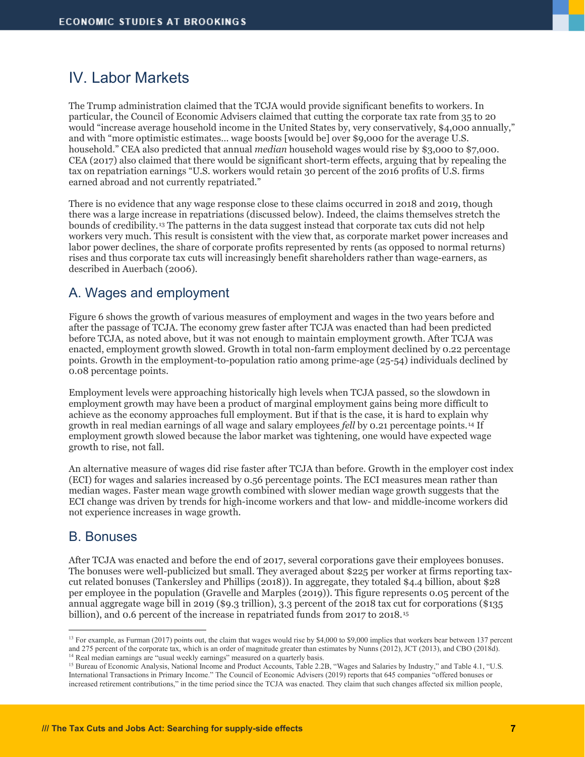## IV. Labor Markets

The Trump administration claimed that the TCJA would provide significant benefits to workers. In particular, the Council of Economic Advisers claimed that cutting the corporate tax rate from 35 to 20 would "increase average household income in the United States by, very conservatively, \$4,000 annually," and with "more optimistic estimates… wage boosts [would be] over \$9,000 for the average U.S. household." CEA also predicted that annual *median* household wages would rise by \$3,000 to \$7,000. CEA (2017) also claimed that there would be significant short-term effects, arguing that by repealing the tax on repatriation earnings "U.S. workers would retain 30 percent of the 2016 profits of U.S. firms earned abroad and not currently repatriated."

There is no evidence that any wage response close to these claims occurred in 2018 and 2019, though there was a large increase in repatriations (discussed below). Indeed, the claims themselves stretch the bounds of credibility.[13](#page-6-0) The patterns in the data suggest instead that corporate tax cuts did not help workers very much. This result is consistent with the view that, as corporate market power increases and labor power declines, the share of corporate profits represented by rents (as opposed to normal returns) rises and thus corporate tax cuts will increasingly benefit shareholders rather than wage-earners, as described in Auerbach (2006).

#### A. Wages and employment

Figure 6 shows the growth of various measures of employment and wages in the two years before and after the passage of TCJA. The economy grew faster after TCJA was enacted than had been predicted before TCJA, as noted above, but it was not enough to maintain employment growth. After TCJA was enacted, employment growth slowed. Growth in total non-farm employment declined by 0.22 percentage points. Growth in the employment-to-population ratio among prime-age (25-54) individuals declined by 0.08 percentage points.

Employment levels were approaching historically high levels when TCJA passed, so the slowdown in employment growth may have been a product of marginal employment gains being more difficult to achieve as the economy approaches full employment. But if that is the case, it is hard to explain why growth in real median earnings of all wage and salary employees *fell* by 0.21 percentage points.[14](#page-6-1) If employment growth slowed because the labor market was tightening, one would have expected wage growth to rise, not fall.

An alternative measure of wages did rise faster after TCJA than before. Growth in the employer cost index (ECI) for wages and salaries increased by 0.56 percentage points. The ECI measures mean rather than median wages. Faster mean wage growth combined with slower median wage growth suggests that the ECI change was driven by trends for high-income workers and that low- and middle-income workers did not experience increases in wage growth.

#### B. Bonuses

After TCJA was enacted and before the end of 2017, several corporations gave their employees bonuses. The bonuses were well-publicized but small. They averaged about \$225 per worker at firms reporting taxcut related bonuses (Tankersley and Phillips (2018)). In aggregate, they totaled \$4.4 billion, about \$28 per employee in the population (Gravelle and Marples (2019)). This figure represents 0.05 percent of the annual aggregate wage bill in 2019 (\$9.3 trillion), 3.3 percent of the 2018 tax cut for corporations (\$135 billion), and 0.6 percent of the increase in repatriated funds from 2017 to 2018.[15](#page-6-2)

<span id="page-6-0"></span><sup>&</sup>lt;sup>13</sup> For example, as Furman (2017) points out, the claim that wages would rise by \$4,000 to \$9,000 implies that workers bear between 137 percent and 275 percent of the corporate tax, which is an order of magnitude greater than estimates by Nunns (2012), JCT (2013), and CBO (2018d). <sup>14</sup> Real median earnings are "usual weekly earnings" measured on a quarterly basis.

<span id="page-6-2"></span><span id="page-6-1"></span><sup>&</sup>lt;sup>15</sup> Bureau of Economic Analysis, National Income and Product Accounts, Table 2.2B, "Wages and Salaries by Industry," and Table 4.1, "U.S. International Transactions in Primary Income." The Council of Economic Advisers (2019) reports that 645 companies "offered bonuses or increased retirement contributions," in the time period since the TCJA was enacted. They claim that such changes affected six million people,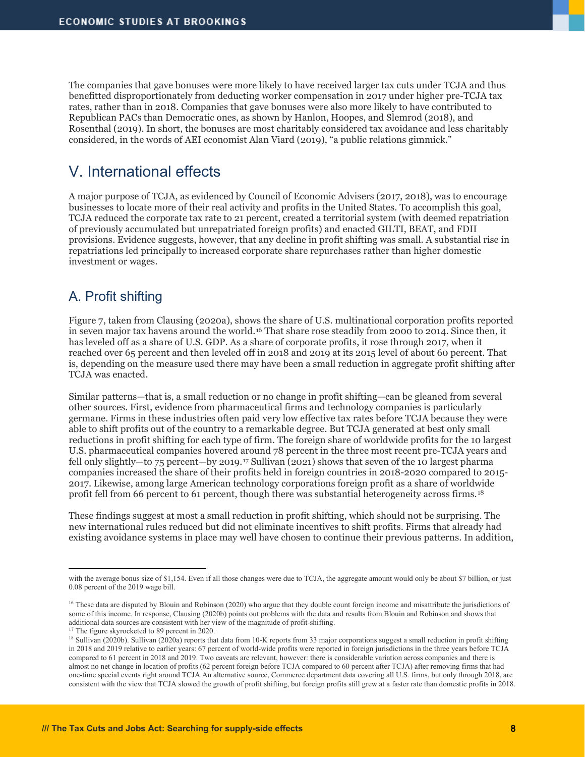The companies that gave bonuses were more likely to have received larger tax cuts under TCJA and thus benefitted disproportionately from deducting worker compensation in 2017 under higher pre-TCJA tax rates, rather than in 2018. Companies that gave bonuses were also more likely to have contributed to Republican PACs than Democratic ones, as shown by Hanlon, Hoopes, and Slemrod (2018), and Rosenthal (2019). In short, the bonuses are most charitably considered tax avoidance and less charitably considered, in the words of AEI economist Alan Viard (2019), "a public relations gimmick."

## V. International effects

A major purpose of TCJA, as evidenced by Council of Economic Advisers (2017, 2018), was to encourage businesses to locate more of their real activity and profits in the United States. To accomplish this goal, TCJA reduced the corporate tax rate to 21 percent, created a territorial system (with deemed repatriation of previously accumulated but unrepatriated foreign profits) and enacted GILTI, BEAT, and FDII provisions. Evidence suggests, however, that any decline in profit shifting was small. A substantial rise in repatriations led principally to increased corporate share repurchases rather than higher domestic investment or wages.

### A. Profit shifting

Figure 7, taken from Clausing (2020a), shows the share of U.S. multinational corporation profits reported in seven major tax havens around the world.[16](#page-7-0) That share rose steadily from 2000 to 2014. Since then, it has leveled off as a share of U.S. GDP. As a share of corporate profits, it rose through 2017, when it reached over 65 percent and then leveled off in 2018 and 2019 at its 2015 level of about 60 percent. That is, depending on the measure used there may have been a small reduction in aggregate profit shifting after TCJA was enacted.

Similar patterns—that is, a small reduction or no change in profit shifting—can be gleaned from several other sources. First, evidence from pharmaceutical firms and technology companies is particularly germane. Firms in these industries often paid very low effective tax rates before TCJA because they were able to shift profits out of the country to a remarkable degree. But TCJA generated at best only small reductions in profit shifting for each type of firm. The foreign share of worldwide profits for the 10 largest U.S. pharmaceutical companies hovered around 78 percent in the three most recent pre-TCJA years and fell only slightly—to 75 percent—by 2019.[17](#page-7-1) Sullivan (2021) shows that seven of the 10 largest pharma companies increased the share of their profits held in foreign countries in 2018-2020 compared to 2015- 2017. Likewise, among large American technology corporations foreign profit as a share of worldwide profit fell from 66 percent to 61 percent, though there was substantial heterogeneity across firms.[18](#page-7-2)

These findings suggest at most a small reduction in profit shifting, which should not be surprising. The new international rules reduced but did not eliminate incentives to shift profits. Firms that already had existing avoidance systems in place may well have chosen to continue their previous patterns. In addition,

with the average bonus size of \$1,154. Even if all those changes were due to TCJA, the aggregate amount would only be about \$7 billion, or just 0.08 percent of the 2019 wage bill.

<span id="page-7-0"></span><sup>&</sup>lt;sup>16</sup> These data are disputed by Blouin and Robinson (2020) who argue that they double count foreign income and misattribute the jurisdictions of some of this income. In response, Clausing (2020b) points out problems with the data and results from Blouin and Robinson and shows that additional data sources are consistent with her view of the magnitude of profit-shifting. 17 The figure skyrocketed to 89 percent in 2020.

<span id="page-7-2"></span><span id="page-7-1"></span><sup>&</sup>lt;sup>18</sup> Sullivan (2020b). Sullivan (2020a) reports that data from 10-K reports from 33 major corporations suggest a small reduction in profit shifting in 2018 and 2019 relative to earlier years: 67 percent of world-wide profits were reported in foreign jurisdictions in the three years before TCJA compared to 61 percent in 2018 and 2019. Two caveats are relevant, however: there is considerable variation across companies and there is almost no net change in location of profits (62 percent foreign before TCJA compared to 60 percent after TCJA) after removing firms that had one-time special events right around TCJA An alternative source, Commerce department data covering all U.S. firms, but only through 2018, are consistent with the view that TCJA slowed the growth of profit shifting, but foreign profits still grew at a faster rate than domestic profits in 2018.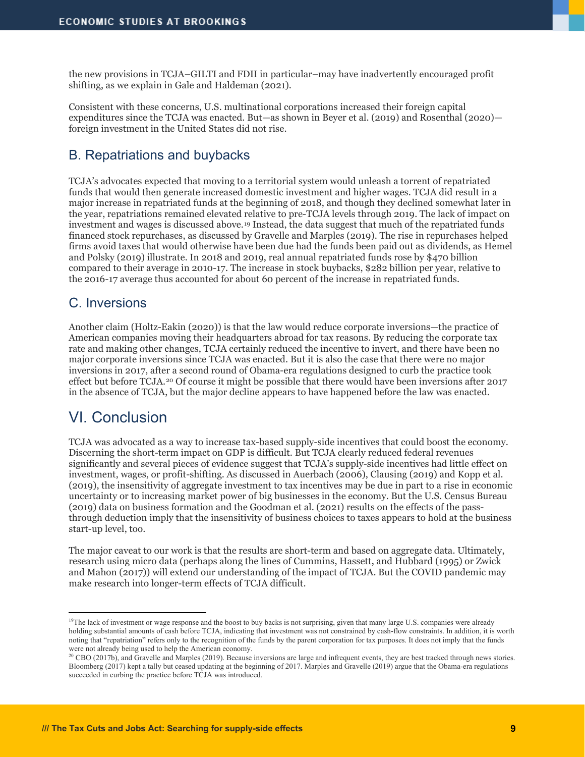the new provisions in TCJA–GILTI and FDII in particular–may have inadvertently encouraged profit shifting, as we explain in Gale and Haldeman (2021).

Consistent with these concerns, U.S. multinational corporations increased their foreign capital expenditures since the TCJA was enacted. But—as shown in Beyer et al. (2019) and Rosenthal (2020) foreign investment in the United States did not rise.

#### B. Repatriations and buybacks

TCJA's advocates expected that moving to a territorial system would unleash a torrent of repatriated funds that would then generate increased domestic investment and higher wages. TCJA did result in a major increase in repatriated funds at the beginning of 2018, and though they declined somewhat later in the year, repatriations remained elevated relative to pre-TCJA levels through 2019. The lack of impact on investment and wages is discussed above.[19](#page-8-0) Instead, the data suggest that much of the repatriated funds financed stock repurchases, as discussed by Gravelle and Marples (2019). The rise in repurchases helped firms avoid taxes that would otherwise have been due had the funds been paid out as dividends, as Hemel and Polsky (2019) illustrate. In 2018 and 2019, real annual repatriated funds rose by \$470 billion compared to their average in 2010-17. The increase in stock buybacks, \$282 billion per year, relative to the 2016-17 average thus accounted for about 60 percent of the increase in repatriated funds.

#### C. Inversions

Another claim (Holtz-Eakin (2020)) is that the law would reduce corporate inversions—the practice of American companies moving their headquarters abroad for tax reasons. By reducing the corporate tax rate and making other changes, TCJA certainly reduced the incentive to invert, and there have been no major corporate inversions since TCJA was enacted. But it is also the case that there were no major inversions in 2017, after a second round of Obama-era regulations designed to curb the practice took effect but before TCJA.[20](#page-8-1) Of course it might be possible that there would have been inversions after 2017 in the absence of TCJA, but the major decline appears to have happened before the law was enacted.

## VI. Conclusion

TCJA was advocated as a way to increase tax-based supply-side incentives that could boost the economy. Discerning the short-term impact on GDP is difficult. But TCJA clearly reduced federal revenues significantly and several pieces of evidence suggest that TCJA's supply-side incentives had little effect on investment, wages, or profit-shifting. As discussed in Auerbach (2006), Clausing (2019) and Kopp et al. (2019), the insensitivity of aggregate investment to tax incentives may be due in part to a rise in economic uncertainty or to increasing market power of big businesses in the economy. But the U.S. Census Bureau (2019) data on business formation and the Goodman et al. (2021) results on the effects of the passthrough deduction imply that the insensitivity of business choices to taxes appears to hold at the business start-up level, too.

The major caveat to our work is that the results are short-term and based on aggregate data. Ultimately, research using micro data (perhaps along the lines of Cummins, Hassett, and Hubbard (1995) or Zwick and Mahon (2017)) will extend our understanding of the impact of TCJA. But the COVID pandemic may make research into longer-term effects of TCJA difficult.

<span id="page-8-0"></span><sup>&</sup>lt;sup>19</sup>The lack of investment or wage response and the boost to buy backs is not surprising, given that many large U.S. companies were already holding substantial amounts of cash before TCJA, indicating that investment was not constrained by cash-flow constraints. In addition, it is worth noting that "repatriation" refers only to the recognition of the funds by the parent corporation for tax purposes. It does not imply that the funds

<span id="page-8-1"></span>were not already being used to help the American economy.<br><sup>20</sup> CBO (2017b), and Gravelle and Marples (2019). Because inversions are large and infrequent events, they are best tracked through news stories. Bloomberg (2017) kept a tally but ceased updating at the beginning of 2017. Marples and Gravelle (2019) argue that the Obama-era regulations succeeded in curbing the practice before TCJA was introduced.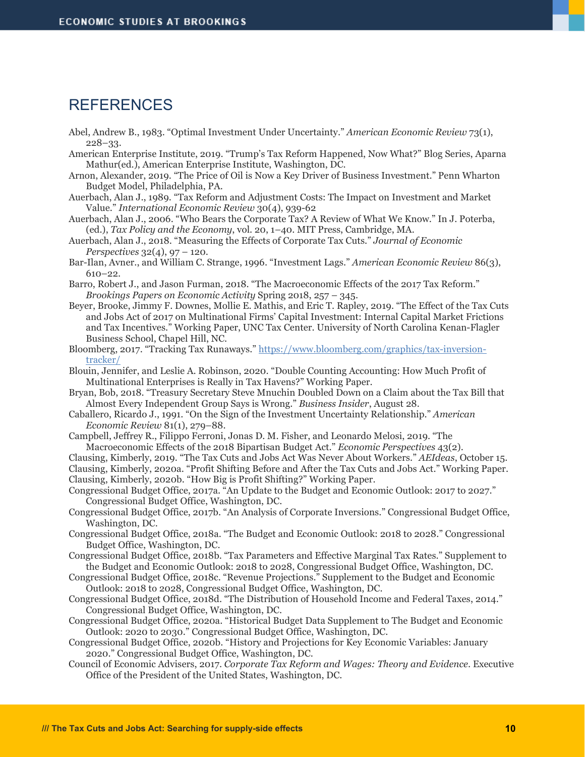#### REFERENCES

- Abel, Andrew B., 1983. "Optimal Investment Under Uncertainty." *American Economic Review* 73(1), 228–33.
- American Enterprise Institute, 2019. "Trump's Tax Reform Happened, Now What?" Blog Series, Aparna Mathur(ed.), American Enterprise Institute, Washington, DC.
- Arnon, Alexander, 2019. "The Price of Oil is Now a Key Driver of Business Investment." Penn Wharton Budget Model, Philadelphia, PA.
- Auerbach, Alan J., 1989. "Tax Reform and Adjustment Costs: The Impact on Investment and Market Value." *International Economic Review* 30(4), 939-62
- Auerbach, Alan J., 2006. "Who Bears the Corporate Tax? A Review of What We Know." In J. Poterba, (ed.), *Tax Policy and the Economy*, vol. 20, 1–40. MIT Press, Cambridge, MA.
- Auerbach, Alan J., 2018. "Measuring the Effects of Corporate Tax Cuts." *Journal of Economic Perspectives* 32(4), 97 – 120.
- Bar-Ilan, Avner., and William C. Strange, 1996. "Investment Lags." *American Economic Review* 86(3), 610–22.
- Barro, Robert J., and Jason Furman, 2018. "The Macroeconomic Effects of the 2017 Tax Reform." *Brookings Papers on Economic Activity* Spring 2018, 257 – 345.
- Beyer, Brooke, Jimmy F. Downes, Mollie E. Mathis, and Eric T. Rapley, 2019. "The Effect of the Tax Cuts and Jobs Act of 2017 on Multinational Firms' Capital Investment: Internal Capital Market Frictions and Tax Incentives." Working Paper, UNC Tax Center. University of North Carolina Kenan-Flagler Business School, Chapel Hill, NC.
- Bloomberg, 2017. "Tracking Tax Runaways." [https://www.bloomberg.com/graphics/tax-inversion](https://www.bloomberg.com/graphics/tax-inversion-tracker/)[tracker/](https://www.bloomberg.com/graphics/tax-inversion-tracker/)
- Blouin, Jennifer, and Leslie A. Robinson, 2020. "Double Counting Accounting: How Much Profit of Multinational Enterprises is Really in Tax Havens?" Working Paper.
- Bryan, Bob, 2018. "Treasury Secretary Steve Mnuchin Doubled Down on a Claim about the Tax Bill that Almost Every Independent Group Says is Wrong." *Business Insider*, August 28.
- Caballero, Ricardo J., 1991. "On the Sign of the Investment Uncertainty Relationship." *American Economic Review* 81(1), 279–88.
- Campbell, Jeffrey R., Filippo Ferroni, Jonas D. M. Fisher, and Leonardo Melosi, 2019. "The Macroeconomic Effects of the 2018 Bipartisan Budget Act." *Economic Perspectives* 43(2).
- Clausing, Kimberly, 2019. "The Tax Cuts and Jobs Act Was Never About Workers." *AEIdeas*, October 15. Clausing, Kimberly, 2020a. "Profit Shifting Before and After the Tax Cuts and Jobs Act." Working Paper. Clausing, Kimberly, 2020b. "How Big is Profit Shifting?" Working Paper.
- Congressional Budget Office, 2017a. "An Update to the Budget and Economic Outlook: 2017 to 2027." Congressional Budget Office, Washington, DC.
- Congressional Budget Office, 2017b. "An Analysis of Corporate Inversions." Congressional Budget Office, Washington, DC.
- Congressional Budget Office, 2018a. "The Budget and Economic Outlook: 2018 to 2028." Congressional Budget Office, Washington, DC.
- Congressional Budget Office, 2018b. "Tax Parameters and Effective Marginal Tax Rates." Supplement to the Budget and Economic Outlook: 2018 to 2028, Congressional Budget Office, Washington, DC.
- Congressional Budget Office, 2018c. "Revenue Projections." Supplement to the Budget and Economic Outlook: 2018 to 2028, Congressional Budget Office, Washington, DC.
- Congressional Budget Office, 2018d. "The Distribution of Household Income and Federal Taxes, 2014." Congressional Budget Office, Washington, DC.
- Congressional Budget Office, 2020a. "Historical Budget Data Supplement to The Budget and Economic Outlook: 2020 to 2030." Congressional Budget Office, Washington, DC.
- Congressional Budget Office, 2020b. "History and Projections for Key Economic Variables: January 2020." Congressional Budget Office, Washington, DC.
- Council of Economic Advisers, 2017. *Corporate Tax Reform and Wages: Theory and Evidence*. Executive Office of the President of the United States, Washington, DC.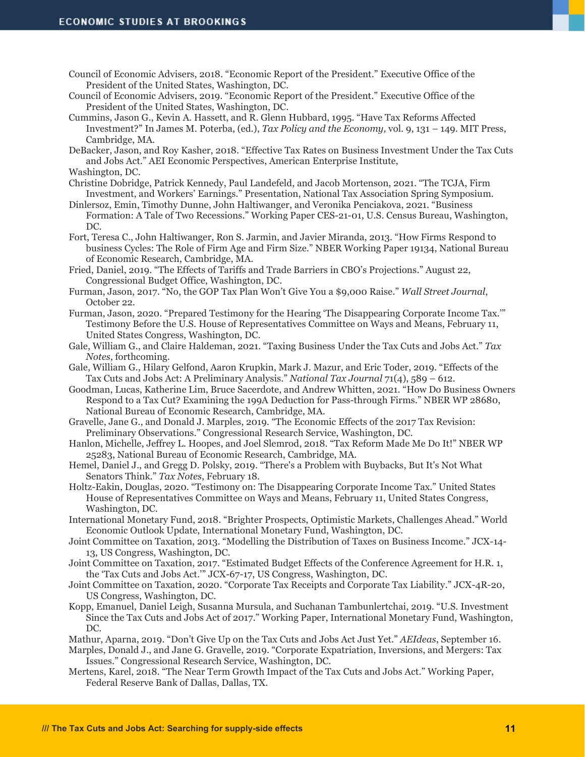- Council of Economic Advisers, 2018. "Economic Report of the President." Executive Office of the President of the United States, Washington, DC.
- Council of Economic Advisers, 2019. "Economic Report of the President." Executive Office of the President of the United States, Washington, DC.
- Cummins, Jason G., Kevin A. Hassett, and R. Glenn Hubbard, 1995. "Have Tax Reforms Affected Investment?" In James M. Poterba, (ed.), *Tax Policy and the Economy,* vol. 9, 131 – 149. MIT Press, Cambridge, MA.

DeBacker, Jason, and Roy Kasher, 2018. "Effective Tax Rates on Business Investment Under the Tax Cuts and Jobs Act." AEI Economic Perspectives, American Enterprise Institute,

Washington, DC.

- Christine Dobridge, Patrick Kennedy, Paul Landefeld, and Jacob Mortenson, 2021. "The TCJA, Firm Investment, and Workers' Earnings." Presentation, National Tax Association Spring Symposium.
- Dinlersoz, Emin, Timothy Dunne, John Haltiwanger, and Veronika Penciakova, 2021. "Business Formation: A Tale of Two Recessions." Working Paper CES-21-01, U.S. Census Bureau, Washington, DC.
- Fort, Teresa C., John Haltiwanger, Ron S. Jarmin, and Javier Miranda, 2013. "How Firms Respond to business Cycles: The Role of Firm Age and Firm Size." NBER Working Paper 19134, National Bureau of Economic Research, Cambridge, MA.

Fried, Daniel, 2019. "The Effects of Tariffs and Trade Barriers in CBO's Projections." August 22, Congressional Budget Office, Washington, DC.

- Furman, Jason, 2017. "No, the GOP Tax Plan Won't Give You a \$9,000 Raise." *Wall Street Journal*, October 22.
- Furman, Jason, 2020. "Prepared Testimony for the Hearing 'The Disappearing Corporate Income Tax.'" Testimony Before the U.S. House of Representatives Committee on Ways and Means, February 11, United States Congress, Washington, DC.
- Gale, William G., and Claire Haldeman, 2021. "Taxing Business Under the Tax Cuts and Jobs Act." *Tax Notes*, forthcoming.
- Gale, William G., Hilary Gelfond, Aaron Krupkin, Mark J. Mazur, and Eric Toder, 2019. "Effects of the Tax Cuts and Jobs Act: A Preliminary Analysis." *National Tax Journal* 71(4), 589 – 612.
- Goodman, Lucas, Katherine Lim, Bruce Sacerdote, and Andrew Whitten, 2021. "How Do Business Owners Respond to a Tax Cut? Examining the 199A Deduction for Pass-through Firms." NBER WP 28680, National Bureau of Economic Research, Cambridge, MA.
- Gravelle, Jane G., and Donald J. Marples, 2019. "The Economic Effects of the 2017 Tax Revision: Preliminary Observations." Congressional Research Service, Washington, DC.
- Hanlon, Michelle, Jeffrey L. Hoopes, and Joel Slemrod, 2018. "Tax Reform Made Me Do It!" NBER WP 25283, National Bureau of Economic Research, Cambridge, MA.
- Hemel, Daniel J., and Gregg D. Polsky, 2019. "There's a Problem with Buybacks, But It's Not What Senators Think." *Tax Notes*, February 18.
- Holtz-Eakin, Douglas, 2020. "Testimony on: The Disappearing Corporate Income Tax." United States House of Representatives Committee on Ways and Means, February 11, United States Congress, Washington, DC.
- International Monetary Fund, 2018. "Brighter Prospects, Optimistic Markets, Challenges Ahead." World Economic Outlook Update, International Monetary Fund, Washington, DC.
- Joint Committee on Taxation, 2013. "Modelling the Distribution of Taxes on Business Income." JCX-14- 13, US Congress, Washington, DC.
- Joint Committee on Taxation, 2017. "Estimated Budget Effects of the Conference Agreement for H.R. 1, the 'Tax Cuts and Jobs Act.'" JCX-67-17, US Congress, Washington, DC.
- Joint Committee on Taxation, 2020. "Corporate Tax Receipts and Corporate Tax Liability." JCX-4R-20, US Congress, Washington, DC.
- Kopp, Emanuel, Daniel Leigh, Susanna Mursula, and Suchanan Tambunlertchai, 2019. "U.S. Investment Since the Tax Cuts and Jobs Act of 2017." Working Paper, International Monetary Fund, Washington, DC.

Mathur, Aparna, 2019. "Don't Give Up on the Tax Cuts and Jobs Act Just Yet." *AEIdeas*, September 16.

Marples, Donald J., and Jane G. Gravelle, 2019. "Corporate Expatriation, Inversions, and Mergers: Tax Issues." Congressional Research Service, Washington, DC.

Mertens, Karel, 2018. "The Near Term Growth Impact of the Tax Cuts and Jobs Act." Working Paper, Federal Reserve Bank of Dallas, Dallas, TX.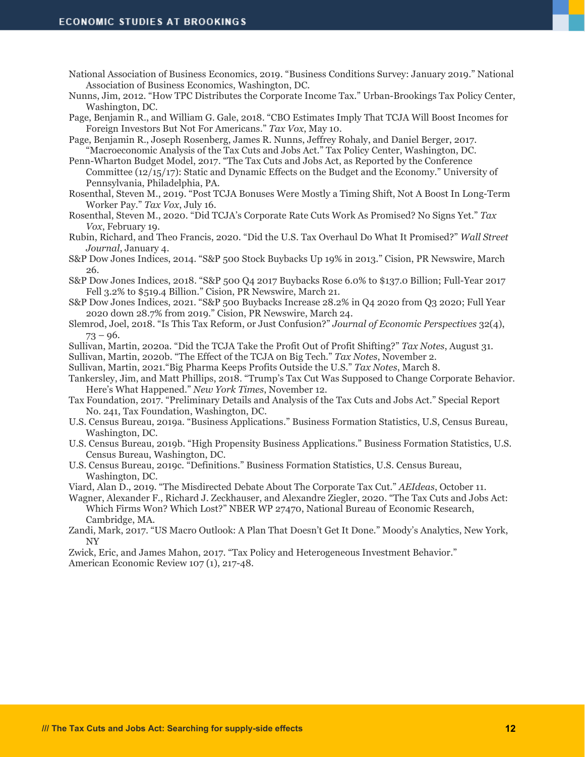- National Association of Business Economics, 2019. "Business Conditions Survey: January 2019." National Association of Business Economics, Washington, DC.
- Nunns, Jim, 2012. "How TPC Distributes the Corporate Income Tax." Urban-Brookings Tax Policy Center, Washington, DC.

Page, Benjamin R., and William G. Gale, 2018. "CBO Estimates Imply That TCJA Will Boost Incomes for Foreign Investors But Not For Americans." *Tax Vox*, May 10.

Page, Benjamin R., Joseph Rosenberg, James R. Nunns, Jeffrey Rohaly, and Daniel Berger, 2017. "Macroeconomic Analysis of the Tax Cuts and Jobs Act." Tax Policy Center, Washington, DC.

Penn-Wharton Budget Model, 2017. "The Tax Cuts and Jobs Act, as Reported by the Conference Committee (12/15/17): Static and Dynamic Effects on the Budget and the Economy." University of Pennsylvania, Philadelphia, PA.

Rosenthal, Steven M., 2019. "Post TCJA Bonuses Were Mostly a Timing Shift, Not A Boost In Long-Term Worker Pay." *Tax Vox*, July 16.

Rosenthal, Steven M., 2020. "Did TCJA's Corporate Rate Cuts Work As Promised? No Signs Yet." *Tax Vox*, February 19.

- Rubin, Richard, and Theo Francis, 2020. "Did the U.S. Tax Overhaul Do What It Promised?" *Wall Street Journal*, January 4.
- S&P Dow Jones Indices, 2014. "S&P 500 Stock Buybacks Up 19% in 2013." Cision, PR Newswire, March 26.
- S&P Dow Jones Indices, 2018. "S&P 500 Q4 2017 Buybacks Rose 6.0% to \$137.0 Billion; Full-Year 2017 Fell 3.2% to \$519.4 Billion." Cision, PR Newswire, March 21.
- S&P Dow Jones Indices, 2021. "S&P 500 Buybacks Increase 28.2% in Q4 2020 from Q3 2020; Full Year 2020 down 28.7% from 2019." Cision, PR Newswire, March 24.
- Slemrod, Joel, 2018. "Is This Tax Reform, or Just Confusion?" *Journal of Economic Perspectives* 32(4),  $73 - 96.$
- Sullivan, Martin, 2020a. "Did the TCJA Take the Profit Out of Profit Shifting?" *Tax Notes*, August 31.
- Sullivan, Martin, 2020b. "The Effect of the TCJA on Big Tech." *Tax Notes*, November 2.
- Sullivan, Martin, 2021."Big Pharma Keeps Profits Outside the U.S." *Tax Notes*, March 8.
- Tankersley, Jim, and Matt Phillips, 2018. "Trump's Tax Cut Was Supposed to Change Corporate Behavior. Here's What Happened." *New York Times*, November 12.
- Tax Foundation, 2017. "Preliminary Details and Analysis of the Tax Cuts and Jobs Act." Special Report No. 241, Tax Foundation, Washington, DC.
- U.S. Census Bureau, 2019a. "Business Applications." Business Formation Statistics, U.S, Census Bureau, Washington, DC.
- U.S. Census Bureau, 2019b. "High Propensity Business Applications." Business Formation Statistics, U.S. Census Bureau, Washington, DC.
- U.S. Census Bureau, 2019c. "Definitions." Business Formation Statistics, U.S. Census Bureau, Washington, DC.

Viard, Alan D., 2019. "The Misdirected Debate About The Corporate Tax Cut." *AEIdeas*, October 11.

Wagner, Alexander F., Richard J. Zeckhauser, and Alexandre Ziegler, 2020. "The Tax Cuts and Jobs Act: Which Firms Won? Which Lost?" NBER WP 27470, National Bureau of Economic Research, Cambridge, MA.

Zandi, Mark, 2017. "US Macro Outlook: A Plan That Doesn't Get It Done." Moody's Analytics, New York, NY

Zwick, Eric, and James Mahon, 2017. "Tax Policy and Heterogeneous Investment Behavior." American Economic Review 107 (1), 217-48.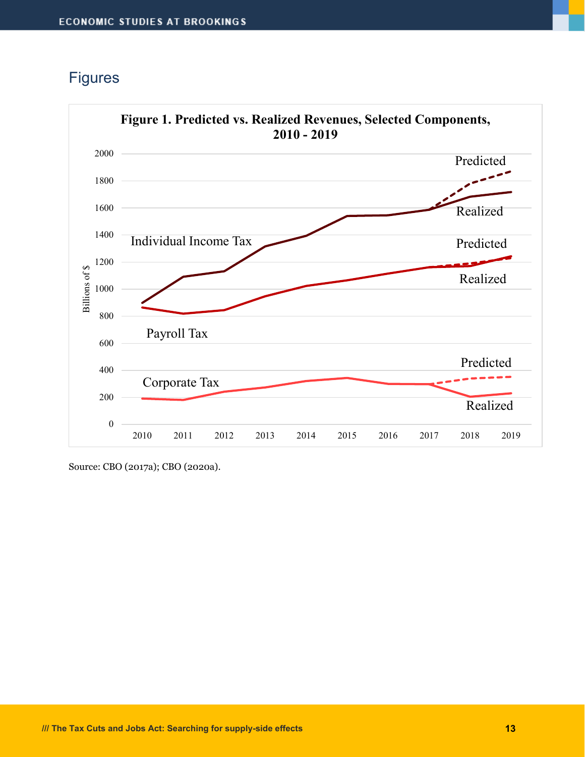## **Figures**



Source: CBO (2017a); CBO (2020a).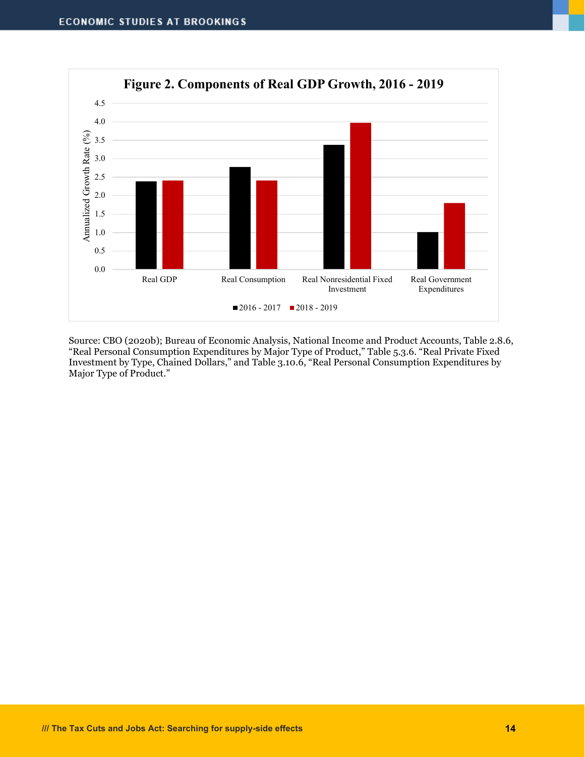

Source: CBO (2020b); Bureau of Economic Analysis, National Income and Product Accounts, Table 2.8.6, "Real Personal Consumption Expenditures by Major Type of Product," Table 5.3.6. "Real Private Fixed Investment by Type, Chained Dollars," and Table 3.10.6, "Real Personal Consumption Expenditures by Major Type of Product."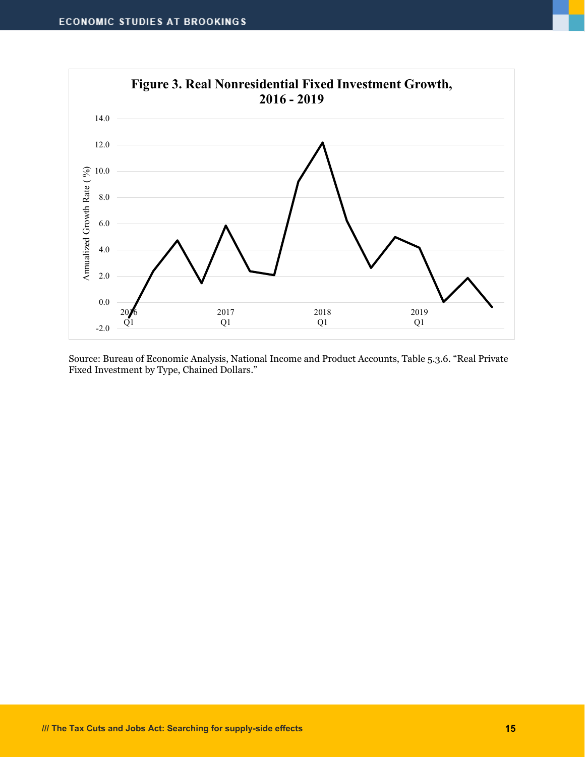

Source: Bureau of Economic Analysis, National Income and Product Accounts, Table 5.3.6. "Real Private Fixed Investment by Type, Chained Dollars."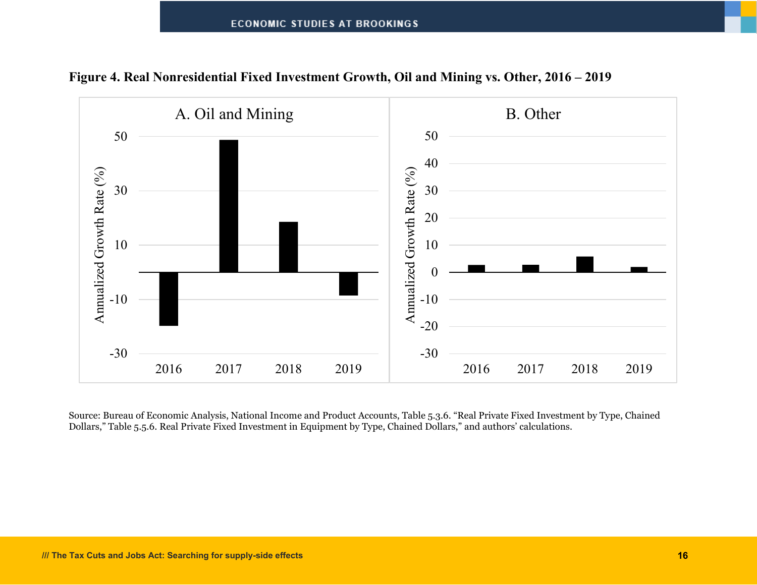



Source: Bureau of Economic Analysis, National Income and Product Accounts, Table 5.3.6. "Real Private Fixed Investment by Type, Chained Dollars," Table 5.5.6. Real Private Fixed Investment in Equipment by Type, Chained Dollars," and authors' calculations.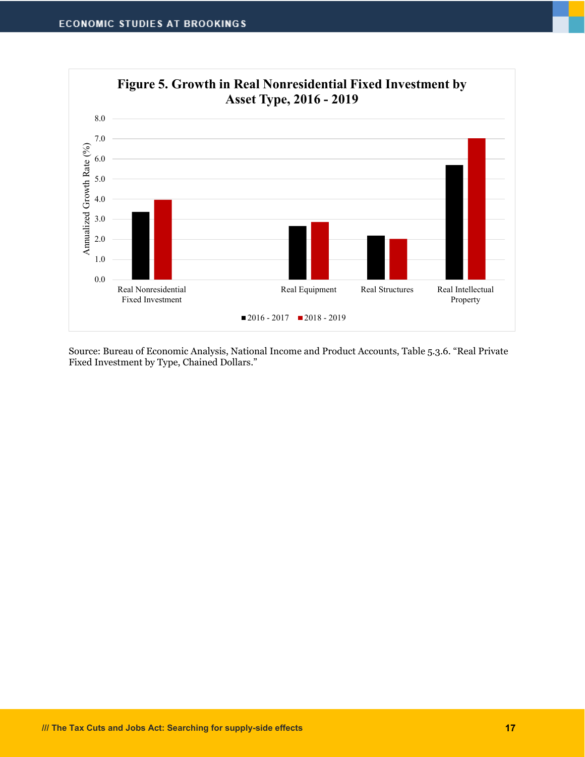

Source: Bureau of Economic Analysis, National Income and Product Accounts, Table 5.3.6. "Real Private Fixed Investment by Type, Chained Dollars."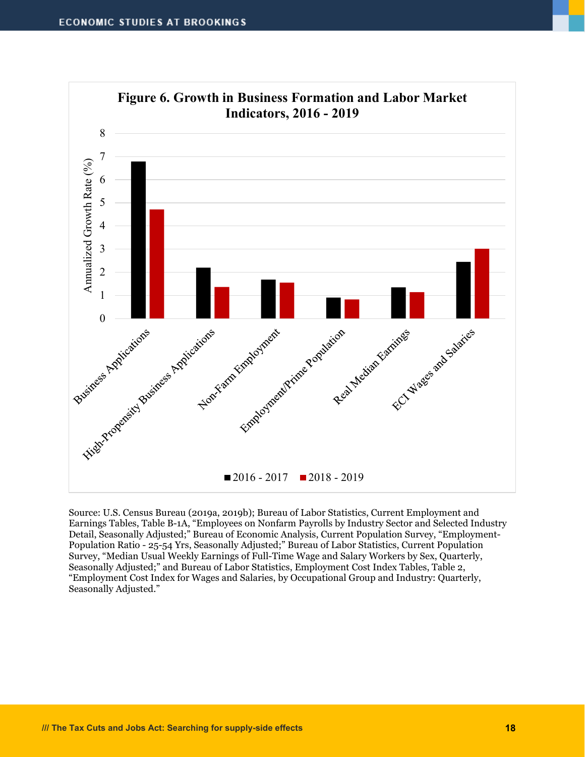

Source: U.S. Census Bureau (2019a, 2019b); Bureau of Labor Statistics, Current Employment and Earnings Tables, Table B-1A, "Employees on Nonfarm Payrolls by Industry Sector and Selected Industry Detail, Seasonally Adjusted;" Bureau of Economic Analysis, Current Population Survey, "Employment-Population Ratio - 25-54 Yrs, Seasonally Adjusted;" Bureau of Labor Statistics, Current Population Survey, "Median Usual Weekly Earnings of Full-Time Wage and Salary Workers by Sex, Quarterly, Seasonally Adjusted;" and Bureau of Labor Statistics, Employment Cost Index Tables, Table 2, "Employment Cost Index for Wages and Salaries, by Occupational Group and Industry: Quarterly, Seasonally Adjusted."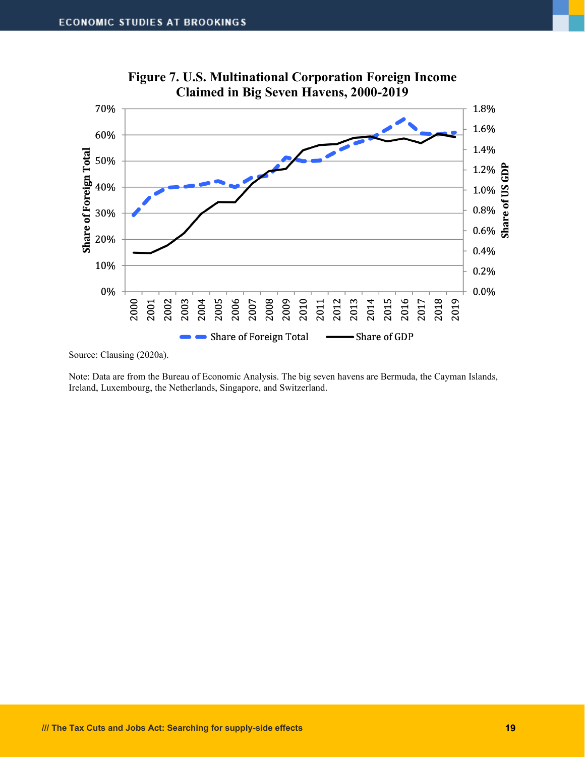

**Figure 7. U.S. Multinational Corporation Foreign Income Claimed in Big Seven Havens, 2000-2019**

Source: Clausing (2020a).

Note: Data are from the Bureau of Economic Analysis. The big seven havens are Bermuda, the Cayman Islands, Ireland, Luxembourg, the Netherlands, Singapore, and Switzerland.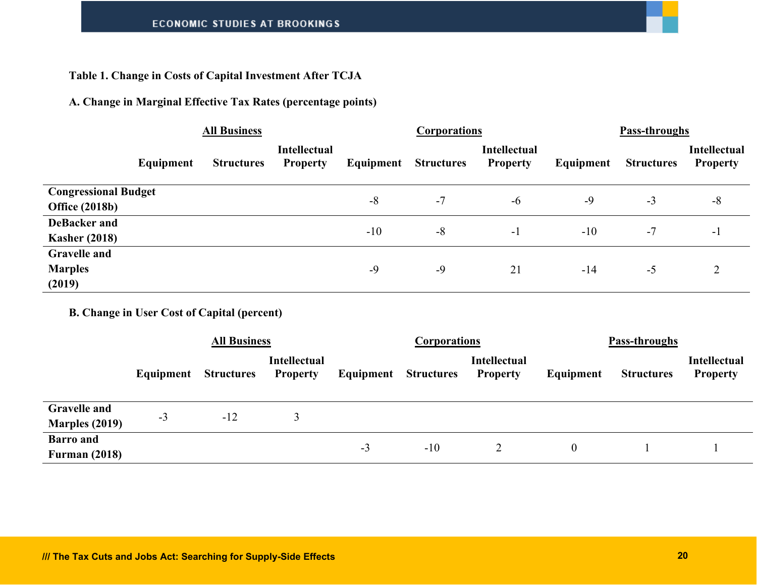#### **Table 1. Change in Costs of Capital Investment After TCJA**

#### **A. Change in Marginal Effective Tax Rates (percentage points)**

|                                                      | <b>All Business</b> |                   |                                        | <b>Corporations</b> |                   |                                 | Pass-throughs |                   |                                        |
|------------------------------------------------------|---------------------|-------------------|----------------------------------------|---------------------|-------------------|---------------------------------|---------------|-------------------|----------------------------------------|
|                                                      | Equipment           | <b>Structures</b> | <b>Intellectual</b><br><b>Property</b> | Equipment           | <b>Structures</b> | Intellectual<br><b>Property</b> | Equipment     | <b>Structures</b> | <b>Intellectual</b><br><b>Property</b> |
| <b>Congressional Budget</b><br><b>Office (2018b)</b> |                     |                   |                                        | $-8$                | $-7$              | $-6$                            | $-9$          | $-3$              | $-8$                                   |
| <b>DeBacker and</b><br><b>Kasher (2018)</b>          |                     |                   |                                        | $-10$               | $-8$              | $-1$                            | $-10$         | $-7$              | $-1$                                   |
| <b>Gravelle and</b><br><b>Marples</b><br>(2019)      |                     |                   |                                        | $-9$                | $-9$              | 21                              | $-14$         | $-5$              |                                        |

**B. Change in User Cost of Capital (percent)**

|                                              | <b>All Business</b> |                   |                                        |                             | <b>Corporations</b> |                                        | Pass-throughs |                   |                                        |
|----------------------------------------------|---------------------|-------------------|----------------------------------------|-----------------------------|---------------------|----------------------------------------|---------------|-------------------|----------------------------------------|
|                                              | Equipment           | <b>Structures</b> | <b>Intellectual</b><br><b>Property</b> | <b>Equipment</b> Structures |                     | <b>Intellectual</b><br><b>Property</b> | Equipment     | <b>Structures</b> | <b>Intellectual</b><br><b>Property</b> |
| <b>Gravelle and</b><br><b>Marples (2019)</b> | $-3$                | $-12$             |                                        |                             |                     |                                        |               |                   |                                        |
| <b>Barro</b> and<br><b>Furman (2018)</b>     |                     |                   |                                        | $-3$                        | $-10$               |                                        | 0             |                   |                                        |